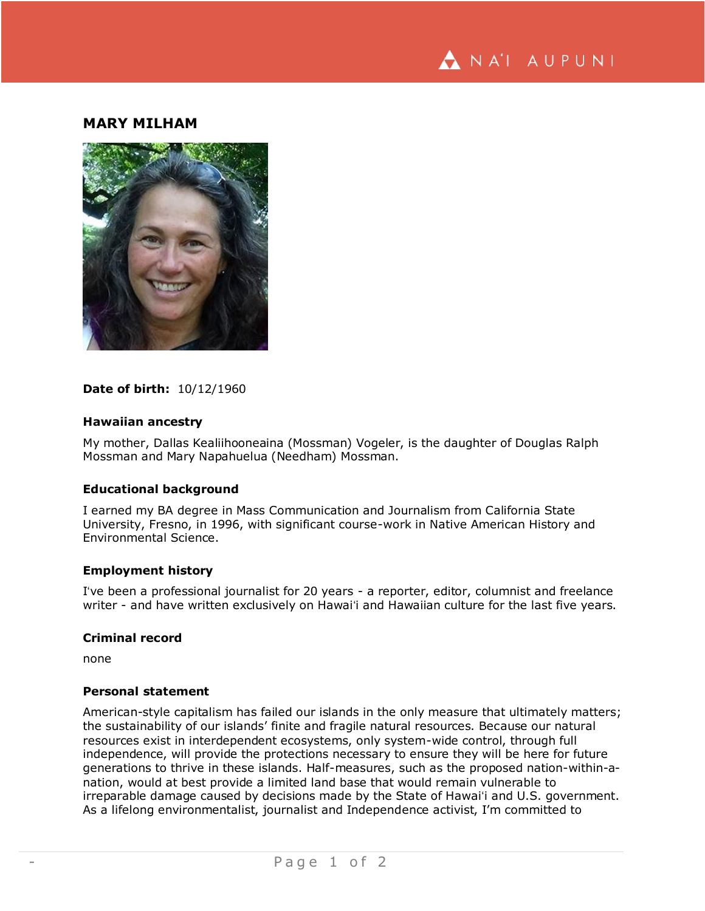

# **MARY MILHAM**



### **Date of birth:** 10/12/1960

### **Hawaiian ancestry**

My mother, Dallas Kealiihooneaina (Mossman) Vogeler, is the daughter of Douglas Ralph Mossman and Mary Napahuelua (Needham) Mossman.

## **Educational background**

I earned my BA degree in Mass Communication and Journalism from California State University, Fresno, in 1996, with significant course-work in Native American History and Environmental Science.

### **Employment history**

Iʻve been a professional journalist for 20 years - a reporter, editor, columnist and freelance writer - and have written exclusively on Hawaiʻi and Hawaiian culture for the last five years.

#### **Criminal record**

none

## **Personal statement**

American-style capitalism has failed our islands in the only measure that ultimately matters; the sustainability of our islands' finite and fragile natural resources. Because our natural resources exist in interdependent ecosystems, only system-wide control, through full independence, will provide the protections necessary to ensure they will be here for future generations to thrive in these islands. Half-measures, such as the proposed nation-within-anation, would at best provide a limited land base that would remain vulnerable to irreparable damage caused by decisions made by the State of Hawaiʻi and U.S. government. As a lifelong environmentalist, journalist and Independence activist, I'm committed to